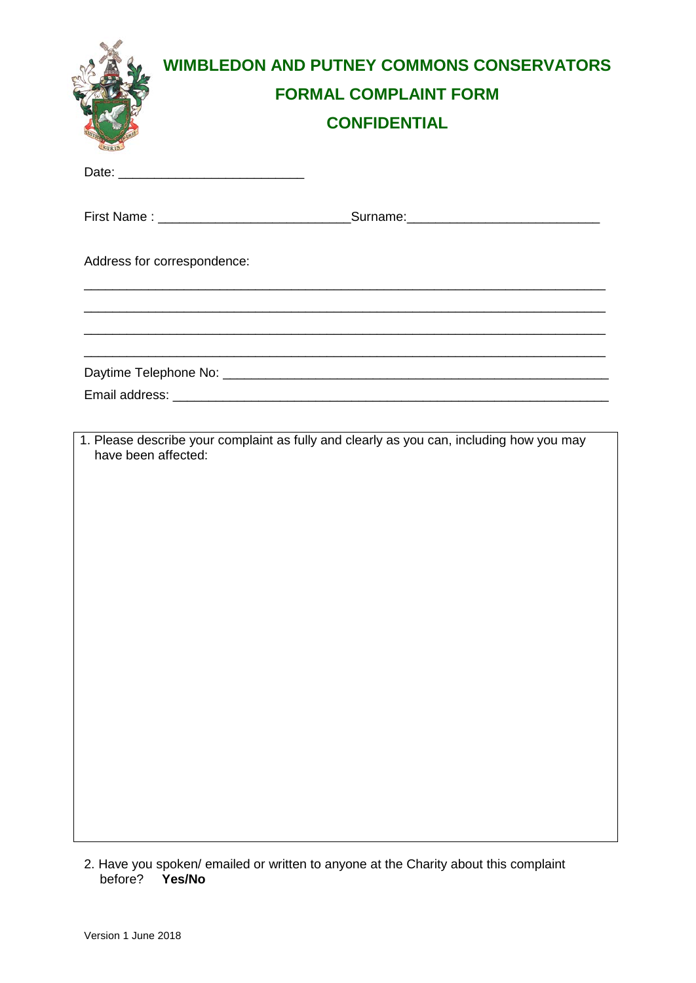| <b>RURIS</b>        | <b>WIMBLEDON AND PUTNEY COMMONS CONSERVATORS</b><br><b>FORMAL COMPLAINT FORM</b><br><b>CONFIDENTIAL</b>                                              |
|---------------------|------------------------------------------------------------------------------------------------------------------------------------------------------|
|                     |                                                                                                                                                      |
|                     |                                                                                                                                                      |
|                     | Address for correspondence:<br><u> 1989 - Johann Stoff, deutscher Stoff, der Stoff, der Stoff, der Stoff, der Stoff, der Stoff, der Stoff, der S</u> |
|                     |                                                                                                                                                      |
|                     |                                                                                                                                                      |
| have been affected: | 1. Please describe your complaint as fully and clearly as you can, including how you may                                                             |

2. Have you spoken/ emailed or written to anyone at the Charity about this complaint before? **Yes/No**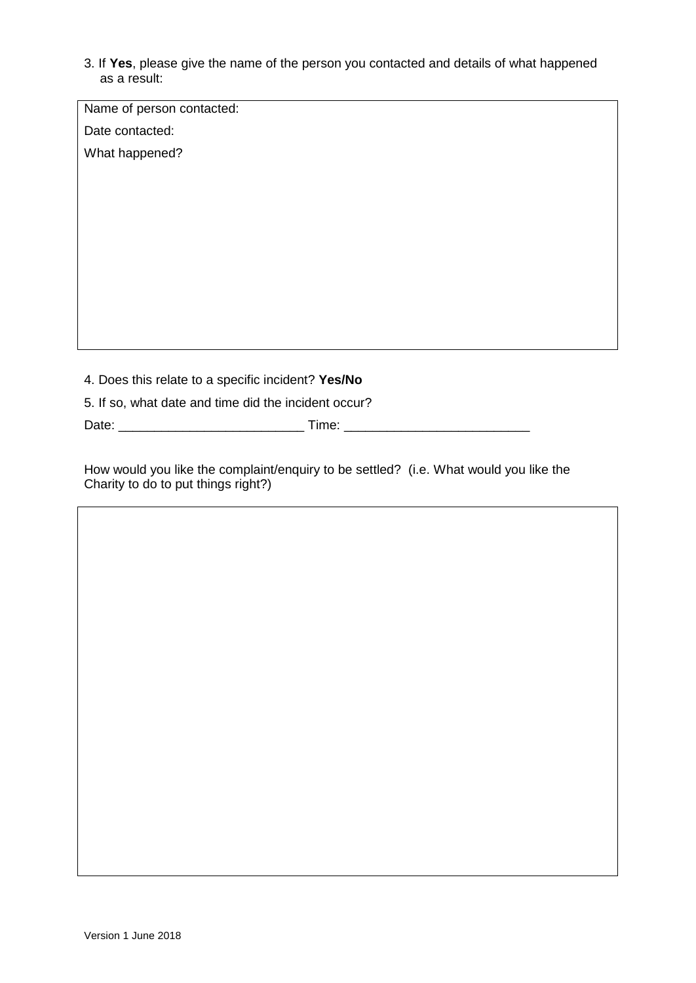3. If **Yes**, please give the name of the person you contacted and details of what happened as a result:

| Name of person contacted:<br>Date contacted:<br>What happened?<br>4. Does this relate to a specific incident? Yes/No<br>5. If so, what date and time did the incident occur? |  |  |  |  |
|------------------------------------------------------------------------------------------------------------------------------------------------------------------------------|--|--|--|--|
|                                                                                                                                                                              |  |  |  |  |
|                                                                                                                                                                              |  |  |  |  |
|                                                                                                                                                                              |  |  |  |  |
|                                                                                                                                                                              |  |  |  |  |
|                                                                                                                                                                              |  |  |  |  |
|                                                                                                                                                                              |  |  |  |  |
|                                                                                                                                                                              |  |  |  |  |
|                                                                                                                                                                              |  |  |  |  |
|                                                                                                                                                                              |  |  |  |  |
|                                                                                                                                                                              |  |  |  |  |
|                                                                                                                                                                              |  |  |  |  |
|                                                                                                                                                                              |  |  |  |  |
|                                                                                                                                                                              |  |  |  |  |
|                                                                                                                                                                              |  |  |  |  |
|                                                                                                                                                                              |  |  |  |  |
|                                                                                                                                                                              |  |  |  |  |

How would you like the complaint/enquiry to be settled? (i.e. What would you like the Charity to do to put things right?)